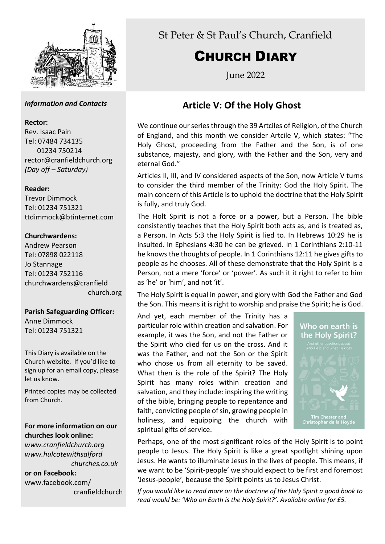

## *Information and Contacts*

#### **Rector:**

Rev. Isaac Pain Tel: 07484 734135 01234 750214 rector@cranfieldchurch.org *(Day off – Saturday)*

## **Reader:**

Trevor Dimmock Tel: 01234 751321 ttdimmock@btinternet.com

## **Churchwardens:**

Andrew Pearson Tel: 07898 022118 Jo Stannage Tel: 01234 752116 churchwardens@cranfield church.org

**Parish Safeguarding Officer:** Anne Dimmock Tel: 01234 751321

This Diary is available on the Church website. If you'd like to sign up for an email copy, please let us know.

Printed copies may be collected from Church.

# **For more information on our churches look online:**

*www.cranfieldchurch.org www.hulcotewithsalford churches.co.uk*

**or on Facebook:** www.facebook.com/ cranfieldchurch St Peter & St Paul's Church, Cranfield

# CHURCH DIARY

June 2022

# **Article V: Of the Holy Ghost**

We continue our series through the 39 Artciles of Religion, of the Church of England, and this month we consider Artcile V, which states: "The Holy Ghost, proceeding from the Father and the Son, is of one substance, majesty, and glory, with the Father and the Son, very and eternal God."

Articles II, III, and IV considered aspects of the Son, now Article V turns to consider the third member of the Trinity: God the Holy Spirit. The main concern of this Article is to uphold the doctrine that the Holy Spirit is fully, and truly God.

The Holt Spirit is not a force or a power, but a Person. The bible consistently teaches that the Holy Spirit both acts as, and is treated as, a Person. In Acts 5:3 the Holy Spirit is lied to. In Hebrews 10:29 he is insulted. In Ephesians 4:30 he can be grieved. In 1 Corinthians 2:10-11 he knows the thoughts of people. In 1 Corinthians 12:11 he gives gifts to people as he chooses. All of these demonstrate that the Holy Spirit is a Person, not a mere 'force' or 'power'. As such it it right to refer to him as 'he' or 'him', and not 'it'.

The Holy Spirit is equal in power, and glory with God the Father and God the Son. This means it is right to worship and praise the Spirit; he is God.

And yet, each member of the Trinity has a particular role within creation and salvation. For example, it was the Son, and not the Father or the Spirit who died for us on the cross. And it was the Father, and not the Son or the Spirit who chose us from all eternity to be saved. What then is the role of the Spirit? The Holy Spirit has many roles within creation and salvation, and they include: inspiring the writing of the bible, bringing people to repentance and faith, convicting people of sin, growing people in holiness, and equipping the church with spiritual gifts of service.



Perhaps, one of the most significant roles of the Holy Spirit is to point people to Jesus. The Holy Spirit is like a great spotlight shining upon Jesus. He wants to illuminate Jesus in the lives of people. This means, if we want to be 'Spirit-people' we should expect to be first and foremost 'Jesus-people', because the Spirit points us to Jesus Christ.

*If you would like to read more on the doctrine of the Holy Spirit a good book to read would be: 'Who on Earth is the Holy Spirit?'. Available online for £5.*